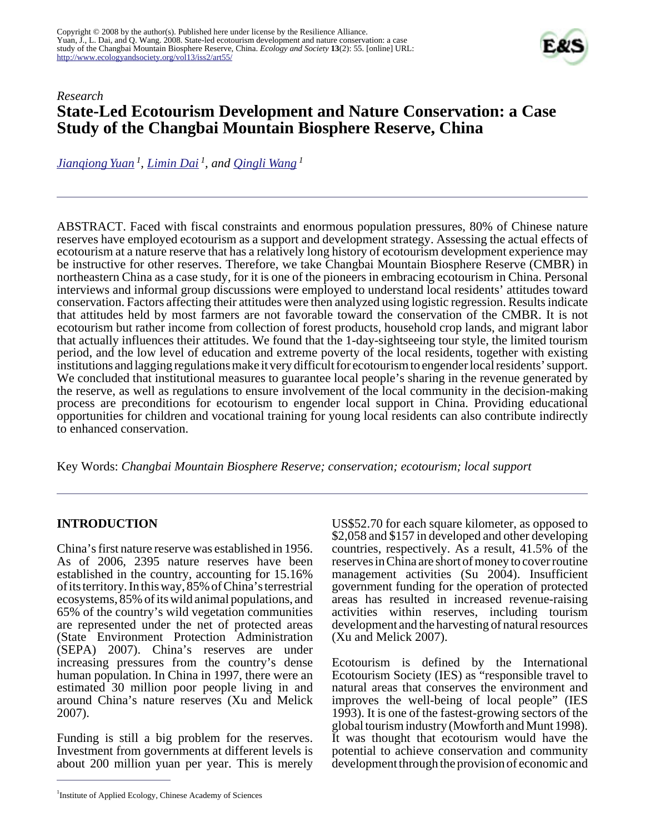

# *Research* **State-Led Ecotourism Development and Nature Conservation: a Case Study of the Changbai Mountain Biosphere Reserve, China**

*[Jianqiong Yuan](mailto:yuanjianqiong@163.com)<sup>1</sup> , [Limin Dai](mailto:lmdai@126.com)<sup>1</sup>, and [Qingli Wang](mailto:lmdai@126.com)<sup>1</sup>*

ABSTRACT. Faced with fiscal constraints and enormous population pressures, 80% of Chinese nature reserves have employed ecotourism as a support and development strategy. Assessing the actual effects of ecotourism at a nature reserve that has a relatively long history of ecotourism development experience may be instructive for other reserves. Therefore, we take Changbai Mountain Biosphere Reserve (CMBR) in northeastern China as a case study, for it is one of the pioneers in embracing ecotourism in China. Personal interviews and informal group discussions were employed to understand local residents' attitudes toward conservation. Factors affecting their attitudes were then analyzed using logistic regression. Results indicate that attitudes held by most farmers are not favorable toward the conservation of the CMBR. It is not ecotourism but rather income from collection of forest products, household crop lands, and migrant labor that actually influences their attitudes. We found that the 1-day-sightseeing tour style, the limited tourism period, and the low level of education and extreme poverty of the local residents, together with existing institutions and lagging regulations make it very difficult for ecotourism to engender local residents' support. We concluded that institutional measures to guarantee local people's sharing in the revenue generated by the reserve, as well as regulations to ensure involvement of the local community in the decision-making process are preconditions for ecotourism to engender local support in China. Providing educational opportunities for children and vocational training for young local residents can also contribute indirectly to enhanced conservation.

Key Words: *Changbai Mountain Biosphere Reserve; conservation; ecotourism; local support*

## **INTRODUCTION**

China's first nature reserve was established in 1956. As of 2006, 2395 nature reserves have been established in the country, accounting for 15.16% of its territory. In this way, 85% of China's terrestrial ecosystems, 85% of its wild animal populations, and 65% of the country's wild vegetation communities are represented under the net of protected areas (State Environment Protection Administration (SEPA) 2007). China's reserves are under increasing pressures from the country's dense human population. In China in 1997, there were an estimated 30 million poor people living in and around China's nature reserves (Xu and Melick 2007).

Funding is still a big problem for the reserves. Investment from governments at different levels is about 200 million yuan per year. This is merely

<sup>1</sup>Institute of Applied Ecology, Chinese Academy of Sciences

US\$52.70 for each square kilometer, as opposed to \$2,058 and \$157 in developed and other developing countries, respectively. As a result, 41.5% of the reserves in China are short of money to cover routine management activities (Su 2004). Insufficient government funding for the operation of protected areas has resulted in increased revenue-raising activities within reserves, including tourism development and the harvesting of natural resources (Xu and Melick 2007).

Ecotourism is defined by the International Ecotourism Society (IES) as "responsible travel to natural areas that conserves the environment and improves the well-being of local people" (IES 1993). It is one of the fastest-growing sectors of the global tourism industry (Mowforth and Munt 1998). It was thought that ecotourism would have the potential to achieve conservation and community development through the provision of economic and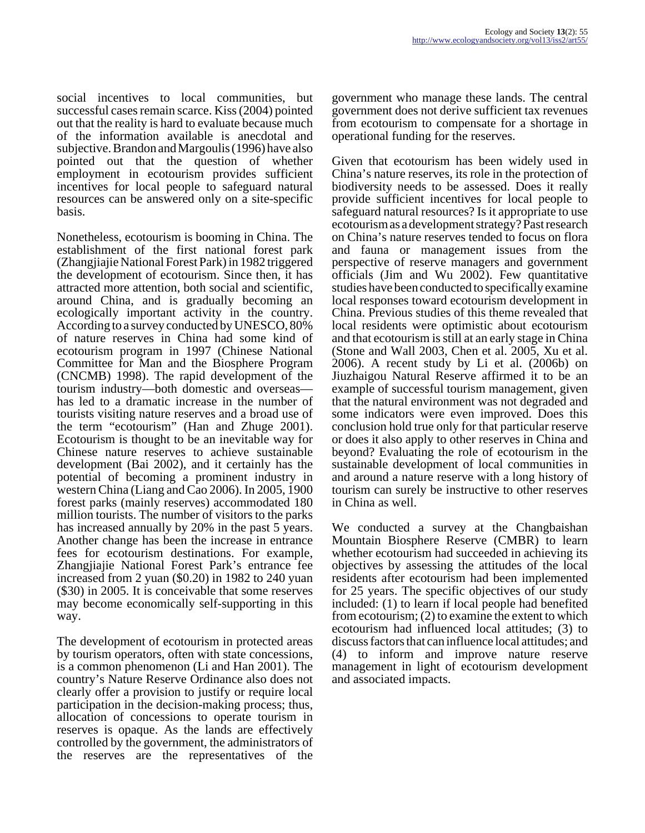social incentives to local communities, but successful cases remain scarce. Kiss (2004) pointed out that the reality is hard to evaluate because much of the information available is anecdotal and subjective. Brandon and Margoulis (1996) have also pointed out that the question of whether employment in ecotourism provides sufficient incentives for local people to safeguard natural resources can be answered only on a site-specific basis.

Nonetheless, ecotourism is booming in China. The establishment of the first national forest park (Zhangjiajie National Forest Park) in 1982 triggered the development of ecotourism. Since then, it has attracted more attention, both social and scientific, around China, and is gradually becoming an ecologically important activity in the country. According to a survey conducted by UNESCO, 80% of nature reserves in China had some kind of ecotourism program in 1997 (Chinese National Committee for Man and the Biosphere Program (CNCMB) 1998). The rapid development of the tourism industry—both domestic and overseas has led to a dramatic increase in the number of tourists visiting nature reserves and a broad use of the term "ecotourism" (Han and Zhuge 2001). Ecotourism is thought to be an inevitable way for Chinese nature reserves to achieve sustainable development (Bai 2002), and it certainly has the potential of becoming a prominent industry in western China (Liang and Cao 2006). In 2005, 1900 forest parks (mainly reserves) accommodated 180 million tourists. The number of visitors to the parks has increased annually by 20% in the past 5 years. Another change has been the increase in entrance fees for ecotourism destinations. For example, Zhangjiajie National Forest Park's entrance fee increased from 2 yuan (\$0.20) in 1982 to 240 yuan (\$30) in 2005. It is conceivable that some reserves may become economically self-supporting in this way.

The development of ecotourism in protected areas by tourism operators, often with state concessions, is a common phenomenon (Li and Han 2001). The country's Nature Reserve Ordinance also does not clearly offer a provision to justify or require local participation in the decision-making process; thus, allocation of concessions to operate tourism in reserves is opaque. As the lands are effectively controlled by the government, the administrators of the reserves are the representatives of the

government who manage these lands. The central government does not derive sufficient tax revenues from ecotourism to compensate for a shortage in operational funding for the reserves.

Given that ecotourism has been widely used in China's nature reserves, its role in the protection of biodiversity needs to be assessed. Does it really provide sufficient incentives for local people to safeguard natural resources? Is it appropriate to use ecotourism as a development strategy? Past research on China's nature reserves tended to focus on flora and fauna or management issues from the perspective of reserve managers and government officials (Jim and Wu 2002). Few quantitative studies have been conducted to specifically examine local responses toward ecotourism development in China. Previous studies of this theme revealed that local residents were optimistic about ecotourism and that ecotourism is still at an early stage in China (Stone and Wall 2003, Chen et al. 2005, Xu et al. 2006). A recent study by Li et al. (2006b) on Jiuzhaigou Natural Reserve affirmed it to be an example of successful tourism management, given that the natural environment was not degraded and some indicators were even improved. Does this conclusion hold true only for that particular reserve or does it also apply to other reserves in China and beyond? Evaluating the role of ecotourism in the sustainable development of local communities in and around a nature reserve with a long history of tourism can surely be instructive to other reserves in China as well.

We conducted a survey at the Changbaishan Mountain Biosphere Reserve (CMBR) to learn whether ecotourism had succeeded in achieving its objectives by assessing the attitudes of the local residents after ecotourism had been implemented for 25 years. The specific objectives of our study included: (1) to learn if local people had benefited from ecotourism; (2) to examine the extent to which ecotourism had influenced local attitudes; (3) to discuss factors that can influence local attitudes; and (4) to inform and improve nature reserve management in light of ecotourism development and associated impacts.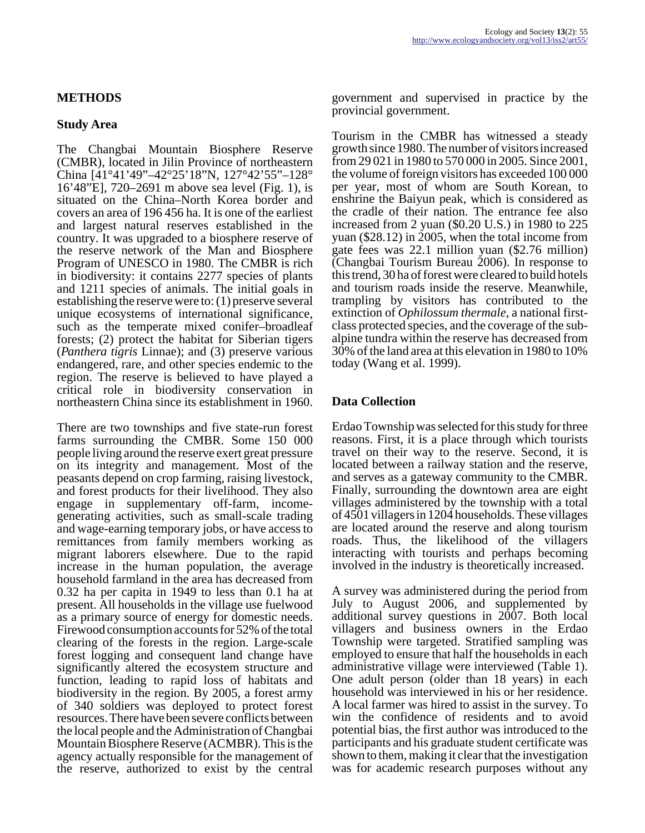#### **METHODS**

#### **Study Area**

The Changbai Mountain Biosphere Reserve (CMBR), located in Jilin Province of northeastern China [41°41'49"–42°25'18"N, 127°42'55"–128° 16'48"E], 720–2691 m above sea level (Fig. 1), is situated on the China–North Korea border and covers an area of 196 456 ha. It is one of the earliest and largest natural reserves established in the country. It was upgraded to a biosphere reserve of the reserve network of the Man and Biosphere Program of UNESCO in 1980. The CMBR is rich in biodiversity: it contains 2277 species of plants and 1211 species of animals. The initial goals in establishing the reserve were to: (1) preserve several unique ecosystems of international significance, such as the temperate mixed conifer–broadleaf forests; (2) protect the habitat for Siberian tigers (*Panthera tigris* Linnae); and (3) preserve various endangered, rare, and other species endemic to the region. The reserve is believed to have played a critical role in biodiversity conservation in northeastern China since its establishment in 1960.

There are two townships and five state-run forest farms surrounding the CMBR. Some 150 000 people living around the reserve exert great pressure on its integrity and management. Most of the peasants depend on crop farming, raising livestock, and forest products for their livelihood. They also engage in supplementary off-farm, incomegenerating activities, such as small-scale trading and wage-earning temporary jobs, or have access to remittances from family members working as migrant laborers elsewhere. Due to the rapid increase in the human population, the average household farmland in the area has decreased from 0.32 ha per capita in 1949 to less than 0.1 ha at present. All households in the village use fuelwood as a primary source of energy for domestic needs. Firewood consumption accounts for 52% of the total clearing of the forests in the region. Large-scale forest logging and consequent land change have significantly altered the ecosystem structure and function, leading to rapid loss of habitats and biodiversity in the region. By 2005, a forest army of 340 soldiers was deployed to protect forest resources. There have been severe conflicts between the local people and the Administration of Changbai Mountain Biosphere Reserve (ACMBR). This is the agency actually responsible for the management of the reserve, authorized to exist by the central

government and supervised in practice by the provincial government.

Tourism in the CMBR has witnessed a steady growth since 1980. The number of visitors increased from 29 021 in 1980 to 570 000 in 2005. Since 2001, the volume of foreign visitors has exceeded 100 000 per year, most of whom are South Korean, to enshrine the Baiyun peak, which is considered as the cradle of their nation. The entrance fee also increased from 2 yuan (\$0.20 U.S.) in 1980 to 225 yuan (\$28.12) in 2005, when the total income from gate fees was 22.1 million yuan (\$2.76 million) (Changbai Tourism Bureau 2006). In response to this trend, 30 ha of forest were cleared to build hotels and tourism roads inside the reserve. Meanwhile, trampling by visitors has contributed to the extinction of *Ophilossum thermale*, a national firstclass protected species, and the coverage of the subalpine tundra within the reserve has decreased from 30% of the land area at this elevation in 1980 to 10% today (Wang et al. 1999).

#### **Data Collection**

Erdao Township was selected for this study for three reasons. First, it is a place through which tourists travel on their way to the reserve. Second, it is located between a railway station and the reserve, and serves as a gateway community to the CMBR. Finally, surrounding the downtown area are eight villages administered by the township with a total of 4501 villagers in 1204 households. These villages are located around the reserve and along tourism roads. Thus, the likelihood of the villagers interacting with tourists and perhaps becoming involved in the industry is theoretically increased.

A survey was administered during the period from July to August 2006, and supplemented by additional survey questions in 2007. Both local villagers and business owners in the Erdao Township were targeted. Stratified sampling was employed to ensure that half the households in each administrative village were interviewed (Table 1). One adult person (older than 18 years) in each household was interviewed in his or her residence. A local farmer was hired to assist in the survey. To win the confidence of residents and to avoid potential bias, the first author was introduced to the participants and his graduate student certificate was shown to them, making it clear that the investigation was for academic research purposes without any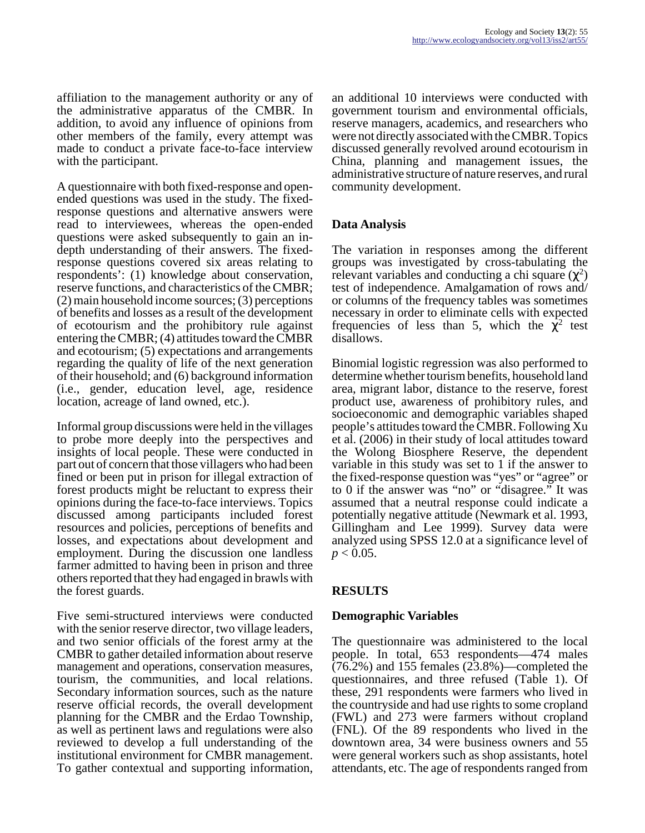affiliation to the management authority or any of the administrative apparatus of the CMBR. In addition, to avoid any influence of opinions from other members of the family, every attempt was made to conduct a private face-to-face interview with the participant.

A questionnaire with both fixed-response and openended questions was used in the study. The fixedresponse questions and alternative answers were read to interviewees, whereas the open-ended questions were asked subsequently to gain an indepth understanding of their answers. The fixedresponse questions covered six areas relating to respondents': (1) knowledge about conservation, reserve functions, and characteristics of the CMBR; (2) main household income sources; (3) perceptions of benefits and losses as a result of the development of ecotourism and the prohibitory rule against entering the CMBR; (4) attitudes toward the CMBR and ecotourism; (5) expectations and arrangements regarding the quality of life of the next generation of their household; and (6) background information (i.e., gender, education level, age, residence location, acreage of land owned, etc.).

Informal group discussions were held in the villages to probe more deeply into the perspectives and insights of local people. These were conducted in part out of concern that those villagers who had been fined or been put in prison for illegal extraction of forest products might be reluctant to express their opinions during the face-to-face interviews. Topics discussed among participants included forest resources and policies, perceptions of benefits and losses, and expectations about development and employment. During the discussion one landless farmer admitted to having been in prison and three others reported that they had engaged in brawls with the forest guards.

Five semi-structured interviews were conducted with the senior reserve director, two village leaders, and two senior officials of the forest army at the CMBR to gather detailed information about reserve management and operations, conservation measures, tourism, the communities, and local relations. Secondary information sources, such as the nature reserve official records, the overall development planning for the CMBR and the Erdao Township, as well as pertinent laws and regulations were also reviewed to develop a full understanding of the institutional environment for CMBR management. To gather contextual and supporting information,

an additional 10 interviews were conducted with government tourism and environmental officials, reserve managers, academics, and researchers who were not directly associated with the CMBR. Topics discussed generally revolved around ecotourism in China, planning and management issues, the administrative structure of nature reserves, and rural community development.

### **Data Analysis**

The variation in responses among the different groups was investigated by cross-tabulating the relevant variables and conducting a chi square  $(\chi^2)$ test of independence. Amalgamation of rows and/ or columns of the frequency tables was sometimes necessary in order to eliminate cells with expected frequencies of less than 5, which the  $\chi^2$  test disallows.

Binomial logistic regression was also performed to determine whether tourism benefits, household land area, migrant labor, distance to the reserve, forest product use, awareness of prohibitory rules, and socioeconomic and demographic variables shaped people's attitudes toward the CMBR. Following Xu et al. (2006) in their study of local attitudes toward the Wolong Biosphere Reserve, the dependent variable in this study was set to 1 if the answer to the fixed-response question was "yes" or "agree" or to 0 if the answer was "no" or "disagree." It was assumed that a neutral response could indicate a potentially negative attitude (Newmark et al. 1993, Gillingham and Lee 1999). Survey data were analyzed using SPSS 12.0 at a significance level of  $p < 0.05$ .

## **RESULTS**

### **Demographic Variables**

The questionnaire was administered to the local people. In total, 653 respondents—474 males (76.2%) and 155 females (23.8%)—completed the questionnaires, and three refused (Table 1). Of these, 291 respondents were farmers who lived in the countryside and had use rights to some cropland (FWL) and 273 were farmers without cropland (FNL). Of the 89 respondents who lived in the downtown area, 34 were business owners and 55 were general workers such as shop assistants, hotel attendants, etc. The age of respondents ranged from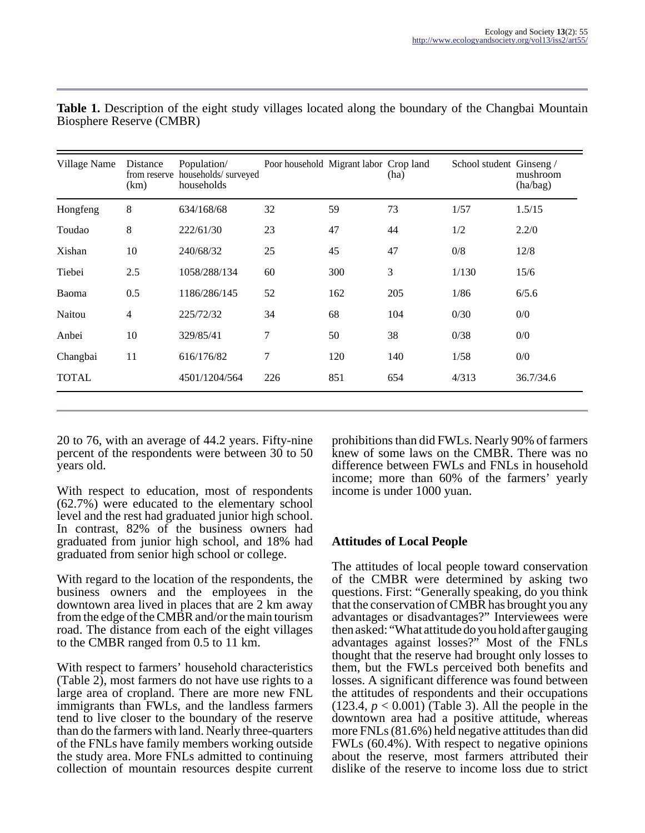| Village Name | Distance<br>from reserve<br>(km) | Population/<br>households/surveyed<br>households | Poor household Migrant labor Crop land |     | (ha) | School student Ginseng / | mushroom<br>(ha/bag) |
|--------------|----------------------------------|--------------------------------------------------|----------------------------------------|-----|------|--------------------------|----------------------|
| Hongfeng     | 8                                | 634/168/68                                       | 32                                     | 59  | 73   | 1/57                     | 1.5/15               |
| Toudao       | 8                                | 222/61/30                                        | 23                                     | 47  | 44   | 1/2                      | 2.2/0                |
| Xishan       | 10                               | 240/68/32                                        | 25                                     | 45  | 47   | 0/8                      | 12/8                 |
| Tiebei       | 2.5                              | 1058/288/134                                     | 60                                     | 300 | 3    | 1/130                    | 15/6                 |
| Baoma        | 0.5                              | 1186/286/145                                     | 52                                     | 162 | 205  | 1/86                     | 6/5.6                |
| Naitou       | 4                                | 225/72/32                                        | 34                                     | 68  | 104  | 0/30                     | 0/0                  |
| Anbei        | 10                               | 329/85/41                                        | 7                                      | 50  | 38   | 0/38                     | 0/0                  |
| Changbai     | 11                               | 616/176/82                                       | 7                                      | 120 | 140  | 1/58                     | 0/0                  |
| <b>TOTAL</b> |                                  | 4501/1204/564                                    | 226                                    | 851 | 654  | 4/313                    | 36.7/34.6            |

**Table 1.** Description of the eight study villages located along the boundary of the Changbai Mountain Biosphere Reserve (CMBR)

20 to 76, with an average of 44.2 years. Fifty-nine percent of the respondents were between 30 to 50 years old.

With respect to education, most of respondents (62.7%) were educated to the elementary school level and the rest had graduated junior high school. In contrast, 82% of the business owners had graduated from junior high school, and 18% had graduated from senior high school or college.

With regard to the location of the respondents, the business owners and the employees in the downtown area lived in places that are 2 km away from the edge of the CMBR and/or the main tourism road. The distance from each of the eight villages to the CMBR ranged from 0.5 to 11 km.

With respect to farmers' household characteristics (Table 2), most farmers do not have use rights to a large area of cropland. There are more new FNL immigrants than FWLs, and the landless farmers tend to live closer to the boundary of the reserve than do the farmers with land. Nearly three-quarters of the FNLs have family members working outside the study area. More FNLs admitted to continuing collection of mountain resources despite current

prohibitions than did FWLs. Nearly 90% of farmers knew of some laws on the CMBR. There was no difference between FWLs and FNLs in household income; more than 60% of the farmers' yearly income is under 1000 yuan.

## **Attitudes of Local People**

The attitudes of local people toward conservation of the CMBR were determined by asking two questions. First: "Generally speaking, do you think that the conservation of CMBR has brought you any advantages or disadvantages?" Interviewees were then asked: "What attitude do you hold after gauging advantages against losses?" Most of the FNLs thought that the reserve had brought only losses to them, but the FWLs perceived both benefits and losses. A significant difference was found between the attitudes of respondents and their occupations  $(123.4, p < 0.001)$  (Table 3). All the people in the downtown area had a positive attitude, whereas more FNLs (81.6%) held negative attitudes than did FWLs (60.4%). With respect to negative opinions about the reserve, most farmers attributed their dislike of the reserve to income loss due to strict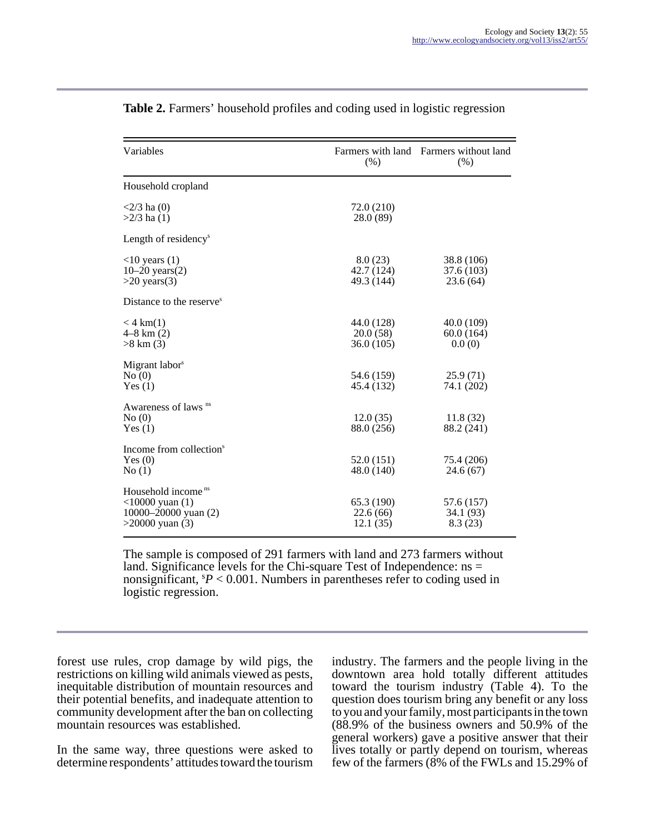| Variables                                                                                       | (% )                                | Farmers with land Farmers without land<br>(% ) |
|-------------------------------------------------------------------------------------------------|-------------------------------------|------------------------------------------------|
| Household cropland                                                                              |                                     |                                                |
| $2/3$ ha (0)<br>$>2/3$ ha (1)                                                                   | 72.0 (210)<br>28.0 (89)             |                                                |
| Length of residency <sup>s</sup>                                                                |                                     |                                                |
| $<$ 10 years (1)<br>$10-20$ years $(2)$<br>$>20$ years(3)                                       | 8.0(23)<br>42.7 (124)<br>49.3 (144) | 38.8 (106)<br>37.6 (103)<br>23.6(64)           |
| Distance to the reserve <sup>s</sup>                                                            |                                     |                                                |
| $<$ 4 km(1)<br>$4-8$ km $(2)$<br>$>8$ km $(3)$                                                  | 44.0 (128)<br>20.0(58)<br>36.0(105) | 40.0(109)<br>60.0(164)<br>0.0(0)               |
| Migrant labor <sup>s</sup><br>No(0)<br>Yes(1)                                                   | 54.6 (159)<br>45.4 (132)            | 25.9(71)<br>74.1 (202)                         |
| Awareness of laws ns<br>No(0)<br>Yes $(1)$                                                      | 12.0(35)<br>88.0 (256)              | 11.8(32)<br>88.2 (241)                         |
| Income from collection <sup>s</sup><br>Yes $(0)$<br>No(1)                                       | 52.0 (151)<br>48.0 (140)            | 75.4 (206)<br>24.6(67)                         |
| Household income <sup>ns</sup><br>$10000$ yuan (1)<br>10000-20000 yuan (2)<br>$>20000$ yuan (3) | 65.3 (190)<br>22.6(66)<br>12.1(35)  | 57.6 (157)<br>34.1 (93)<br>8.3(23)             |

**Table 2.** Farmers' household profiles and coding used in logistic regression

The sample is composed of 291 farmers with land and 273 farmers without land. Significance levels for the Chi-square Test of Independence: ns = nonsignificant, <sup>s</sup>*P* < 0.001. Numbers in parentheses refer to coding used in logistic regression.

forest use rules, crop damage by wild pigs, the restrictions on killing wild animals viewed as pests, inequitable distribution of mountain resources and their potential benefits, and inadequate attention to community development after the ban on collecting mountain resources was established.

In the same way, three questions were asked to determine respondents' attitudes toward the tourism industry. The farmers and the people living in the downtown area hold totally different attitudes toward the tourism industry (Table 4). To the question does tourism bring any benefit or any loss to you and your family, most participants in the town (88.9% of the business owners and 50.9% of the general workers) gave a positive answer that their lives totally or partly depend on tourism, whereas few of the farmers (8% of the FWLs and 15.29% of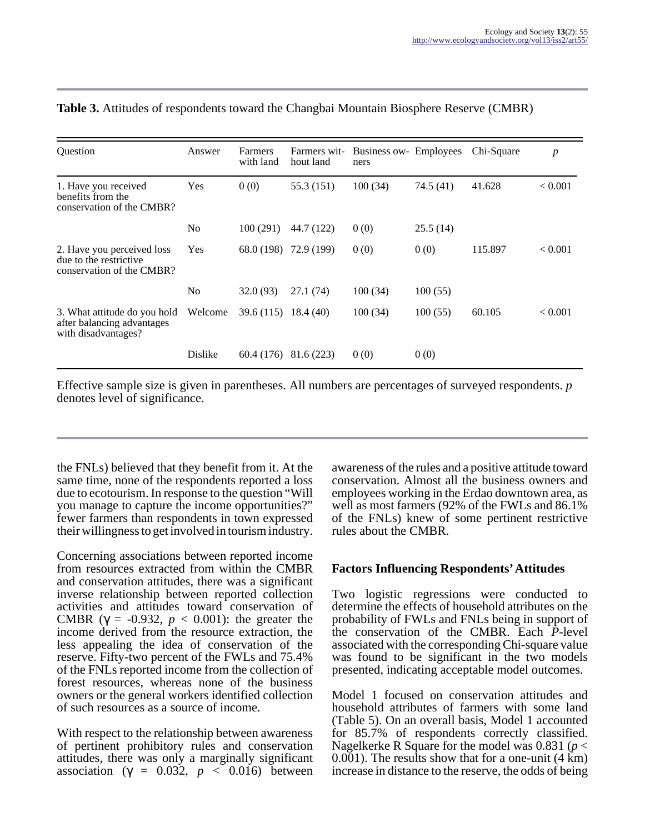| <b>Ouestion</b>                                                                   | Answer         | Farmers<br>with land | Farmers wit-<br>hout land | Business ow- Employees<br>ners |           | Chi-Square | $\boldsymbol{p}$ |
|-----------------------------------------------------------------------------------|----------------|----------------------|---------------------------|--------------------------------|-----------|------------|------------------|
| 1. Have you received<br>benefits from the<br>conservation of the CMBR?            | <b>Yes</b>     | 0(0)                 | 55.3 (151)                | 100(34)                        | 74.5 (41) | 41.628     | < 0.001          |
|                                                                                   | N <sub>0</sub> | 100(291)             | 44.7 (122)                | 0(0)                           | 25.5(14)  |            |                  |
| 2. Have you perceived loss<br>due to the restrictive<br>conservation of the CMBR? | <b>Yes</b>     |                      | 68.0 (198) 72.9 (199)     | 0(0)                           | 0(0)      | 115.897    | < 0.001          |
|                                                                                   | N <sub>0</sub> | 32.0(93)             | 27.1 (74)                 | 100(34)                        | 100(55)   |            |                  |
| 3. What attitude do you hold<br>after balancing advantages<br>with disadvantages? | Welcome        | 39.6 (115)           | 18.4 (40)                 | 100(34)                        | 100(55)   | 60.105     | < 0.001          |
|                                                                                   | Dislike        |                      | $60.4(176)$ 81.6 (223)    | 0(0)                           | 0(0)      |            |                  |

### **Table 3.** Attitudes of respondents toward the Changbai Mountain Biosphere Reserve (CMBR)

Effective sample size is given in parentheses. All numbers are percentages of surveyed respondents. *p* denotes level of significance.

the FNLs) believed that they benefit from it. At the same time, none of the respondents reported a loss due to ecotourism. In response to the question "Will you manage to capture the income opportunities?" fewer farmers than respondents in town expressed their willingness to get involved in tourism industry.

Concerning associations between reported income from resources extracted from within the CMBR and conservation attitudes, there was a significant inverse relationship between reported collection activities and attitudes toward conservation of CMBR (γ = -0.932, *p* < 0.001): the greater the income derived from the resource extraction, the less appealing the idea of conservation of the reserve. Fifty-two percent of the FWLs and 75.4% of the FNLs reported income from the collection of forest resources, whereas none of the business owners or the general workers identified collection of such resources as a source of income.

With respect to the relationship between awareness of pertinent prohibitory rules and conservation attitudes, there was only a marginally significant association ( $\gamma = 0.032$ ,  $p < 0.016$ ) between

awareness of the rules and a positive attitude toward conservation. Almost all the business owners and employees working in the Erdao downtown area, as well as most farmers (92% of the FWLs and 86.1% of the FNLs) knew of some pertinent restrictive rules about the CMBR.

### **Factors Influencing Respondents' Attitudes**

Two logistic regressions were conducted to determine the effects of household attributes on the probability of FWLs and FNLs being in support of the conservation of the CMBR. Each *P*-level associated with the corresponding Chi-square value was found to be significant in the two models presented, indicating acceptable model outcomes.

Model 1 focused on conservation attitudes and household attributes of farmers with some land (Table 5). On an overall basis, Model 1 accounted for 85.7% of respondents correctly classified. Nagelkerke R Square for the model was 0.831 (*p* < 0.001). The results show that for a one-unit (4 km) increase in distance to the reserve, the odds of being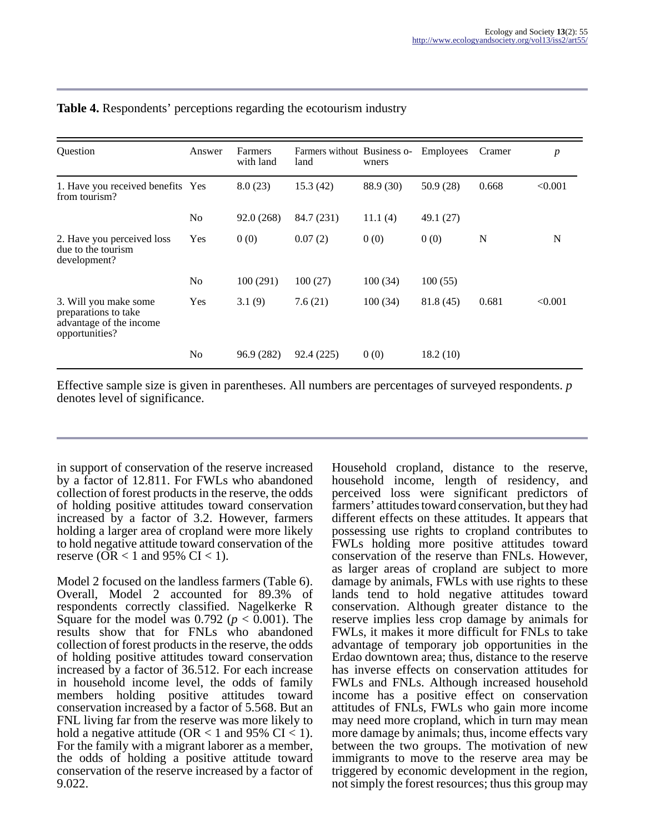| Question                                                                                   | Answer | Farmers<br>with land | Farmers without Business o-<br>land | wners      | <b>Employees</b> | Cramer | $\boldsymbol{p}$ |
|--------------------------------------------------------------------------------------------|--------|----------------------|-------------------------------------|------------|------------------|--------|------------------|
| 1. Have you received benefits Yes<br>from tourism?                                         |        | 8.0(23)              | 15.3(42)                            | 88.9 (30)  | 50.9(28)         | 0.668  | < 0.001          |
|                                                                                            | No     | 92.0(268)            | 84.7 (231)                          | 11.1 $(4)$ | 49.1(27)         |        |                  |
| 2. Have you perceived loss<br>due to the tourism<br>development?                           | Yes    | 0(0)                 | 0.07(2)                             | 0(0)       | 0(0)             | N      | N                |
|                                                                                            | No     | 100(291)             | 100(27)                             | 100(34)    | 100(55)          |        |                  |
| 3. Will you make some<br>preparations to take<br>advantage of the income<br>opportunities? | Yes    | 3.1(9)               | 7.6(21)                             | 100(34)    | 81.8 (45)        | 0.681  | < 0.001          |
|                                                                                            | No     | 96.9 (282)           | 92.4 (225)                          | 0(0)       | 18.2(10)         |        |                  |

### **Table 4.** Respondents' perceptions regarding the ecotourism industry

Effective sample size is given in parentheses. All numbers are percentages of surveyed respondents. *p* denotes level of significance.

in support of conservation of the reserve increased by a factor of 12.811. For FWLs who abandoned collection of forest products in the reserve, the odds of holding positive attitudes toward conservation increased by a factor of 3.2. However, farmers holding a larger area of cropland were more likely to hold negative attitude toward conservation of the reserve (OR < 1 and 95% CI < 1).

Model 2 focused on the landless farmers (Table 6). Overall, Model 2 accounted for 89.3% of respondents correctly classified. Nagelkerke R Square for the model was  $0.792$  ( $p < 0.001$ ). The results show that for FNLs who abandoned collection of forest products in the reserve, the odds of holding positive attitudes toward conservation increased by a factor of 36.512. For each increase in household income level, the odds of family members holding positive attitudes toward conservation increased by a factor of 5.568. But an FNL living far from the reserve was more likely to hold a negative attitude (OR  $<$  1 and 95% CI  $<$  1). For the family with a migrant laborer as a member, the odds of holding a positive attitude toward conservation of the reserve increased by a factor of 9.022.

Household cropland, distance to the reserve, household income, length of residency, and perceived loss were significant predictors of farmers' attitudes toward conservation, but they had different effects on these attitudes. It appears that possessing use rights to cropland contributes to FWLs holding more positive attitudes toward conservation of the reserve than FNLs. However, as larger areas of cropland are subject to more damage by animals, FWLs with use rights to these lands tend to hold negative attitudes toward conservation. Although greater distance to the reserve implies less crop damage by animals for FWLs, it makes it more difficult for FNLs to take advantage of temporary job opportunities in the Erdao downtown area; thus, distance to the reserve has inverse effects on conservation attitudes for FWLs and FNLs. Although increased household income has a positive effect on conservation attitudes of FNLs, FWLs who gain more income may need more cropland, which in turn may mean more damage by animals; thus, income effects vary between the two groups. The motivation of new immigrants to move to the reserve area may be triggered by economic development in the region, not simply the forest resources; thus this group may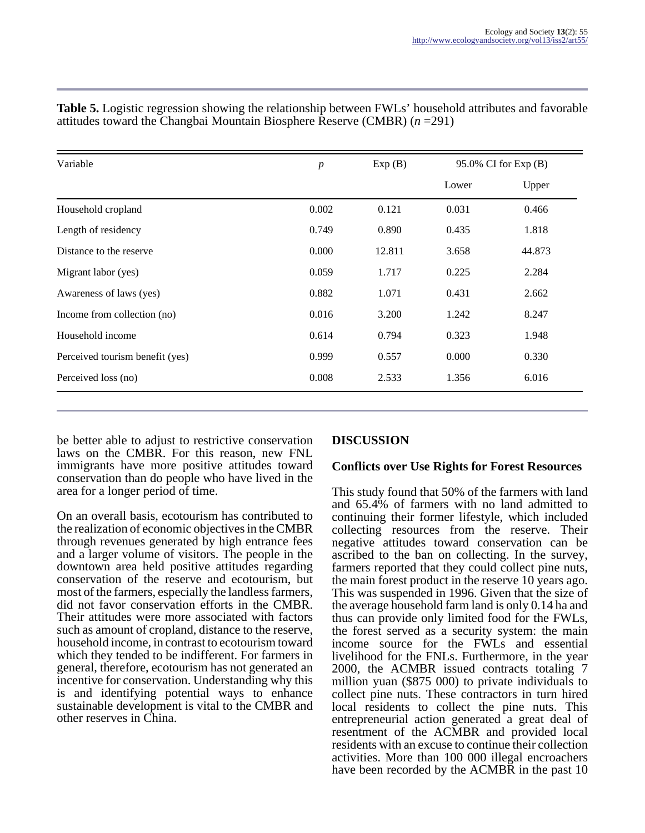| Variable                        | $\boldsymbol{p}$ | Exp(B) | 95.0% CI for Exp (B) |        |
|---------------------------------|------------------|--------|----------------------|--------|
|                                 |                  |        | Lower                | Upper  |
| Household cropland              | 0.002            | 0.121  | 0.031                | 0.466  |
| Length of residency             | 0.749            | 0.890  | 0.435                | 1.818  |
| Distance to the reserve         | 0.000            | 12.811 | 3.658                | 44.873 |
| Migrant labor (yes)             | 0.059            | 1.717  | 0.225                | 2.284  |
| Awareness of laws (yes)         | 0.882            | 1.071  | 0.431                | 2.662  |
| Income from collection (no)     | 0.016            | 3.200  | 1.242                | 8.247  |
| Household income                | 0.614            | 0.794  | 0.323                | 1.948  |
| Perceived tourism benefit (yes) | 0.999            | 0.557  | 0.000                | 0.330  |
| Perceived loss (no)             | 0.008            | 2.533  | 1.356                | 6.016  |

**Table 5.** Logistic regression showing the relationship between FWLs' household attributes and favorable attitudes toward the Changbai Mountain Biosphere Reserve (CMBR) (*n* =291)

be better able to adjust to restrictive conservation laws on the CMBR. For this reason, new FNL immigrants have more positive attitudes toward conservation than do people who have lived in the area for a longer period of time.

On an overall basis, ecotourism has contributed to the realization of economic objectives in the CMBR through revenues generated by high entrance fees and a larger volume of visitors. The people in the downtown area held positive attitudes regarding conservation of the reserve and ecotourism, but most of the farmers, especially the landless farmers, did not favor conservation efforts in the CMBR. Their attitudes were more associated with factors such as amount of cropland, distance to the reserve, household income, in contrast to ecotourism toward which they tended to be indifferent. For farmers in general, therefore, ecotourism has not generated an incentive for conservation. Understanding why this is and identifying potential ways to enhance sustainable development is vital to the CMBR and other reserves in China.

## **DISCUSSION**

### **Conflicts over Use Rights for Forest Resources**

This study found that 50% of the farmers with land and 65.4% of farmers with no land admitted to continuing their former lifestyle, which included collecting resources from the reserve. Their negative attitudes toward conservation can be ascribed to the ban on collecting. In the survey, farmers reported that they could collect pine nuts, the main forest product in the reserve 10 years ago. This was suspended in 1996. Given that the size of the average household farm land is only 0.14 ha and thus can provide only limited food for the FWLs, the forest served as a security system: the main income source for the FWLs and essential livelihood for the FNLs. Furthermore, in the year 2000, the ACMBR issued contracts totaling 7 million yuan (\$875 000) to private individuals to collect pine nuts. These contractors in turn hired local residents to collect the pine nuts. This entrepreneurial action generated a great deal of resentment of the ACMBR and provided local residents with an excuse to continue their collection activities. More than 100 000 illegal encroachers have been recorded by the ACMBR in the past 10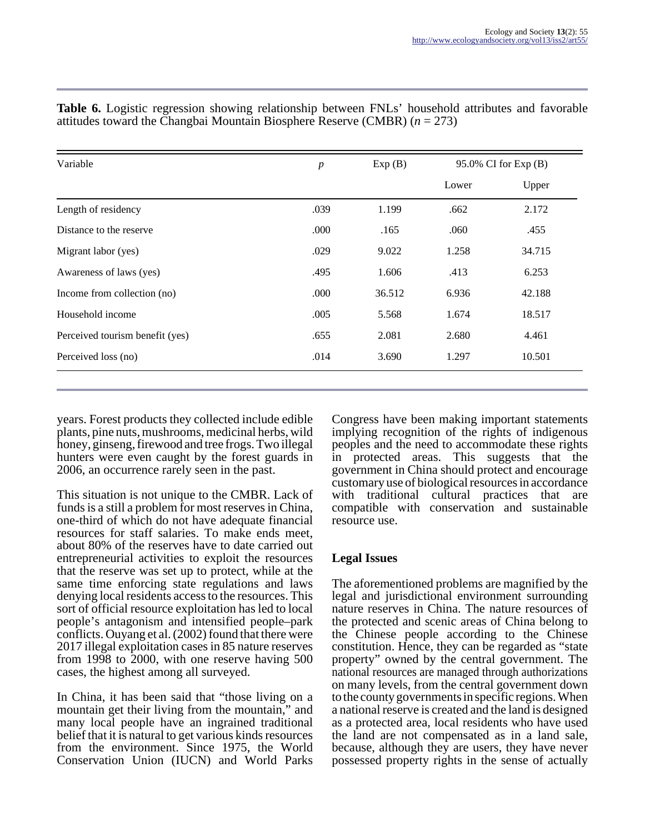| Variable                        | $\boldsymbol{p}$ | Exp(B) | 95.0% CI for Exp (B) |        |
|---------------------------------|------------------|--------|----------------------|--------|
|                                 |                  |        | Lower                | Upper  |
| Length of residency             | .039             | 1.199  | .662                 | 2.172  |
| Distance to the reserve         | .000             | .165   | .060                 | .455   |
| Migrant labor (yes)             | .029             | 9.022  | 1.258                | 34.715 |
| Awareness of laws (yes)         | .495             | 1.606  | .413                 | 6.253  |
| Income from collection (no)     | .000             | 36.512 | 6.936                | 42.188 |
| Household income                | .005             | 5.568  | 1.674                | 18.517 |
| Perceived tourism benefit (yes) | .655             | 2.081  | 2.680                | 4.461  |
| Perceived loss (no)             | .014             | 3.690  | 1.297                | 10.501 |

**Table 6.** Logistic regression showing relationship between FNLs' household attributes and favorable attitudes toward the Changbai Mountain Biosphere Reserve (CMBR) (*n* = 273)

years. Forest products they collected include edible plants, pine nuts, mushrooms, medicinal herbs, wild honey, ginseng, firewood and tree frogs. Two illegal hunters were even caught by the forest guards in 2006, an occurrence rarely seen in the past.

This situation is not unique to the CMBR. Lack of funds is a still a problem for most reserves in China, one-third of which do not have adequate financial resources for staff salaries. To make ends meet, about 80% of the reserves have to date carried out entrepreneurial activities to exploit the resources that the reserve was set up to protect, while at the same time enforcing state regulations and laws denying local residents access to the resources. This sort of official resource exploitation has led to local people's antagonism and intensified people–park conflicts. Ouyang et al. (2002) found that there were 2017 illegal exploitation cases in 85 nature reserves from 1998 to 2000, with one reserve having 500 cases, the highest among all surveyed.

In China, it has been said that "those living on a mountain get their living from the mountain," and many local people have an ingrained traditional belief that it is natural to get various kinds resources from the environment. Since 1975, the World Conservation Union (IUCN) and World Parks

Congress have been making important statements implying recognition of the rights of indigenous peoples and the need to accommodate these rights in protected areas. This suggests that the government in China should protect and encourage customary use of biological resources in accordance with traditional cultural practices that are compatible with conservation and sustainable resource use.

### **Legal Issues**

The aforementioned problems are magnified by the legal and jurisdictional environment surrounding nature reserves in China. The nature resources of the protected and scenic areas of China belong to the Chinese people according to the Chinese constitution. Hence, they can be regarded as "state property" owned by the central government. The national resources are managed through authorizations on many levels, from the central government down to the county governments in specific regions. When a national reserve is created and the land is designed as a protected area, local residents who have used the land are not compensated as in a land sale, because, although they are users, they have never possessed property rights in the sense of actually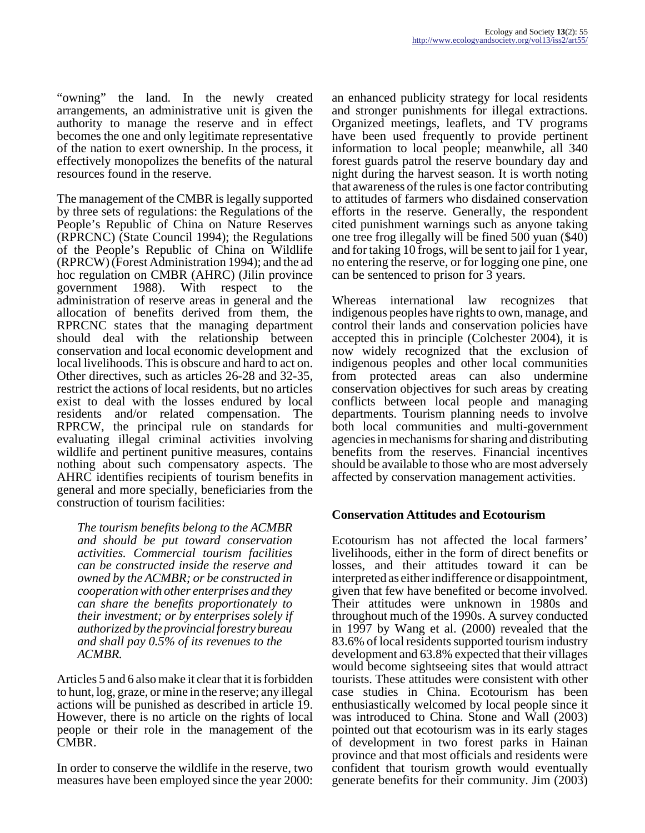"owning" the land. In the newly created arrangements, an administrative unit is given the authority to manage the reserve and in effect becomes the one and only legitimate representative of the nation to exert ownership. In the process, it effectively monopolizes the benefits of the natural resources found in the reserve.

The management of the CMBR is legally supported by three sets of regulations: the Regulations of the People's Republic of China on Nature Reserves (RPRCNC) (State Council 1994); the Regulations of the People's Republic of China on Wildlife (RPRCW) (Forest Administration 1994); and the ad hoc regulation on CMBR (AHRC) (Jilin province government 1988). With respect to the administration of reserve areas in general and the allocation of benefits derived from them, the RPRCNC states that the managing department should deal with the relationship between conservation and local economic development and local livelihoods. This is obscure and hard to act on. Other directives, such as articles 26-28 and 32-35, restrict the actions of local residents, but no articles exist to deal with the losses endured by local residents and/or related compensation. The RPRCW, the principal rule on standards for evaluating illegal criminal activities involving wildlife and pertinent punitive measures, contains nothing about such compensatory aspects. The AHRC identifies recipients of tourism benefits in general and more specially, beneficiaries from the construction of tourism facilities:

*The tourism benefits belong to the ACMBR and should be put toward conservation activities. Commercial tourism facilities can be constructed inside the reserve and owned by the ACMBR; or be constructed in cooperation with other enterprises and they can share the benefits proportionately to their investment; or by enterprises solely if authorized by the provincial forestry bureau and shall pay 0.5% of its revenues to the ACMBR.*

Articles 5 and 6 also make it clear that it is forbidden to hunt, log, graze, or mine in the reserve; any illegal actions will be punished as described in article 19. However, there is no article on the rights of local people or their role in the management of the CMBR.

In order to conserve the wildlife in the reserve, two measures have been employed since the year 2000: an enhanced publicity strategy for local residents and stronger punishments for illegal extractions. Organized meetings, leaflets, and TV programs have been used frequently to provide pertinent information to local people; meanwhile, all 340 forest guards patrol the reserve boundary day and night during the harvest season. It is worth noting that awareness of the rules is one factor contributing to attitudes of farmers who disdained conservation efforts in the reserve. Generally, the respondent cited punishment warnings such as anyone taking one tree frog illegally will be fined 500 yuan (\$40) and for taking 10 frogs, will be sent to jail for 1 year, no entering the reserve, or for logging one pine, one can be sentenced to prison for 3 years.

Whereas international law recognizes that indigenous peoples have rights to own, manage, and control their lands and conservation policies have accepted this in principle (Colchester 2004), it is now widely recognized that the exclusion of indigenous peoples and other local communities from protected areas can also undermine conservation objectives for such areas by creating conflicts between local people and managing departments. Tourism planning needs to involve both local communities and multi-government agencies in mechanisms for sharing and distributing benefits from the reserves. Financial incentives should be available to those who are most adversely affected by conservation management activities.

### **Conservation Attitudes and Ecotourism**

Ecotourism has not affected the local farmers' livelihoods, either in the form of direct benefits or losses, and their attitudes toward it can be interpreted as either indifference or disappointment, given that few have benefited or become involved. Their attitudes were unknown in 1980s and throughout much of the 1990s. A survey conducted in 1997 by Wang et al. (2000) revealed that the 83.6% of local residents supported tourism industry development and 63.8% expected that their villages would become sightseeing sites that would attract tourists. These attitudes were consistent with other case studies in China. Ecotourism has been enthusiastically welcomed by local people since it was introduced to China. Stone and Wall (2003) pointed out that ecotourism was in its early stages of development in two forest parks in Hainan province and that most officials and residents were confident that tourism growth would eventually generate benefits for their community. Jim (2003)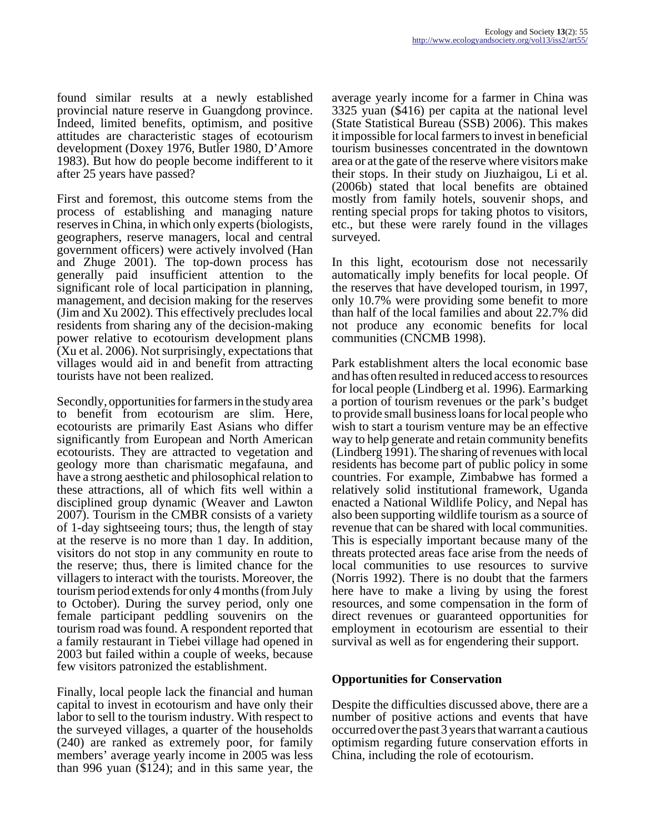found similar results at a newly established provincial nature reserve in Guangdong province. Indeed, limited benefits, optimism, and positive attitudes are characteristic stages of ecotourism development (Doxey 1976, Butler 1980, D'Amore 1983). But how do people become indifferent to it after 25 years have passed?

First and foremost, this outcome stems from the process of establishing and managing nature reserves in China, in which only experts (biologists, geographers, reserve managers, local and central government officers) were actively involved (Han and Zhuge 2001). The top-down process has generally paid insufficient attention to the significant role of local participation in planning, management, and decision making for the reserves (Jim and Xu 2002). This effectively precludes local residents from sharing any of the decision-making power relative to ecotourism development plans (Xu et al. 2006). Not surprisingly, expectations that villages would aid in and benefit from attracting tourists have not been realized.

Secondly, opportunities for farmers in the study area to benefit from ecotourism are slim. Here, ecotourists are primarily East Asians who differ significantly from European and North American ecotourists. They are attracted to vegetation and geology more than charismatic megafauna, and have a strong aesthetic and philosophical relation to these attractions, all of which fits well within a disciplined group dynamic (Weaver and Lawton 2007). Tourism in the CMBR consists of a variety of 1-day sightseeing tours; thus, the length of stay at the reserve is no more than 1 day. In addition, visitors do not stop in any community en route to the reserve; thus, there is limited chance for the villagers to interact with the tourists. Moreover, the tourism period extends for only 4 months (from July to October). During the survey period, only one female participant peddling souvenirs on the tourism road was found. A respondent reported that a family restaurant in Tiebei village had opened in 2003 but failed within a couple of weeks, because few visitors patronized the establishment.

Finally, local people lack the financial and human capital to invest in ecotourism and have only their labor to sell to the tourism industry. With respect to the surveyed villages, a quarter of the households (240) are ranked as extremely poor, for family members' average yearly income in 2005 was less than 996 yuan (\$124); and in this same year, the

average yearly income for a farmer in China was 3325 yuan (\$416) per capita at the national level (State Statistical Bureau (SSB) 2006). This makes it impossible for local farmers to invest in beneficial tourism businesses concentrated in the downtown area or at the gate of the reserve where visitors make their stops. In their study on Jiuzhaigou, Li et al. (2006b) stated that local benefits are obtained mostly from family hotels, souvenir shops, and renting special props for taking photos to visitors, etc., but these were rarely found in the villages surveyed.

In this light, ecotourism dose not necessarily automatically imply benefits for local people. Of the reserves that have developed tourism, in 1997, only 10.7% were providing some benefit to more than half of the local families and about 22.7% did not produce any economic benefits for local communities (CNCMB 1998).

Park establishment alters the local economic base and has often resulted in reduced access to resources for local people (Lindberg et al. 1996). Earmarking a portion of tourism revenues or the park's budget to provide small business loans for local people who wish to start a tourism venture may be an effective way to help generate and retain community benefits (Lindberg 1991). The sharing of revenues with local residents has become part of public policy in some countries. For example, Zimbabwe has formed a relatively solid institutional framework, Uganda enacted a National Wildlife Policy, and Nepal has also been supporting wildlife tourism as a source of revenue that can be shared with local communities. This is especially important because many of the threats protected areas face arise from the needs of local communities to use resources to survive (Norris 1992). There is no doubt that the farmers here have to make a living by using the forest resources, and some compensation in the form of direct revenues or guaranteed opportunities for employment in ecotourism are essential to their survival as well as for engendering their support.

### **Opportunities for Conservation**

Despite the difficulties discussed above, there are a number of positive actions and events that have occurred over the past 3 years that warrant a cautious optimism regarding future conservation efforts in China, including the role of ecotourism.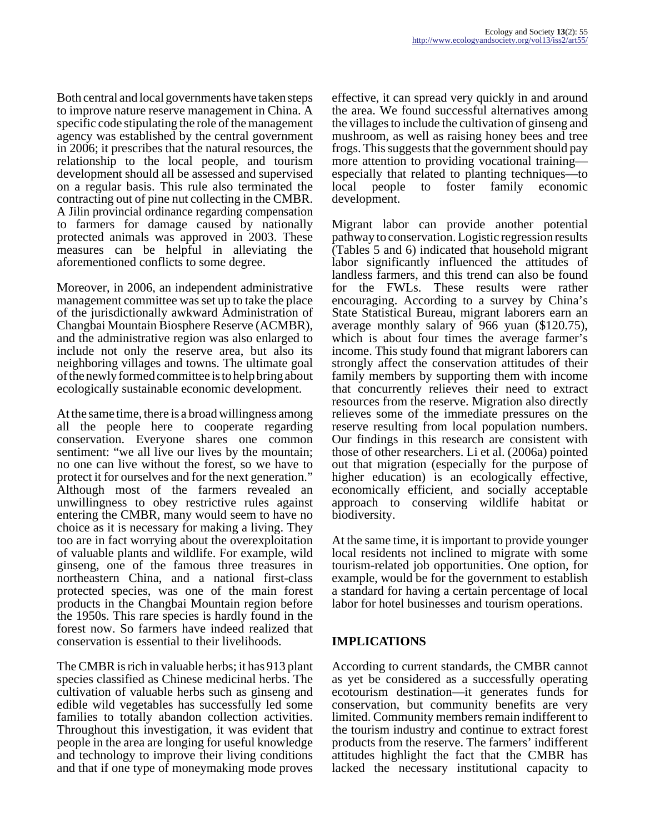Both central and local governments have taken steps to improve nature reserve management in China. A specific code stipulating the role of the management agency was established by the central government in 2006; it prescribes that the natural resources, the relationship to the local people, and tourism development should all be assessed and supervised on a regular basis. This rule also terminated the contracting out of pine nut collecting in the CMBR. A Jilin provincial ordinance regarding compensation to farmers for damage caused by nationally protected animals was approved in 2003. These measures can be helpful in alleviating the aforementioned conflicts to some degree.

Moreover, in 2006, an independent administrative management committee was set up to take the place of the jurisdictionally awkward Administration of Changbai Mountain Biosphere Reserve (ACMBR), and the administrative region was also enlarged to include not only the reserve area, but also its neighboring villages and towns. The ultimate goal of the newly formed committee is to help bring about ecologically sustainable economic development.

At the same time, there is a broad willingness among all the people here to cooperate regarding conservation. Everyone shares one common sentiment: "we all live our lives by the mountain; no one can live without the forest, so we have to protect it for ourselves and for the next generation." Although most of the farmers revealed an unwillingness to obey restrictive rules against entering the CMBR, many would seem to have no choice as it is necessary for making a living. They too are in fact worrying about the overexploitation of valuable plants and wildlife. For example, wild ginseng, one of the famous three treasures in northeastern China, and a national first-class protected species, was one of the main forest products in the Changbai Mountain region before the 1950s. This rare species is hardly found in the forest now. So farmers have indeed realized that conservation is essential to their livelihoods.

The CMBR is rich in valuable herbs; it has 913 plant species classified as Chinese medicinal herbs. The cultivation of valuable herbs such as ginseng and edible wild vegetables has successfully led some families to totally abandon collection activities. Throughout this investigation, it was evident that people in the area are longing for useful knowledge and technology to improve their living conditions and that if one type of moneymaking mode proves

effective, it can spread very quickly in and around the area. We found successful alternatives among the villages to include the cultivation of ginseng and mushroom, as well as raising honey bees and tree frogs. This suggests that the government should pay more attention to providing vocational training especially that related to planting techniques—to local people to foster family economic development.

Migrant labor can provide another potential pathway to conservation. Logistic regression results (Tables 5 and 6) indicated that household migrant labor significantly influenced the attitudes of landless farmers, and this trend can also be found for the FWLs. These results were rather encouraging. According to a survey by China's State Statistical Bureau, migrant laborers earn an average monthly salary of 966 yuan (\$120.75), which is about four times the average farmer's income. This study found that migrant laborers can strongly affect the conservation attitudes of their family members by supporting them with income that concurrently relieves their need to extract resources from the reserve. Migration also directly relieves some of the immediate pressures on the reserve resulting from local population numbers. Our findings in this research are consistent with those of other researchers. Li et al. (2006a) pointed out that migration (especially for the purpose of higher education) is an ecologically effective, economically efficient, and socially acceptable approach to conserving wildlife habitat or biodiversity.

At the same time, it is important to provide younger local residents not inclined to migrate with some tourism-related job opportunities. One option, for example, would be for the government to establish a standard for having a certain percentage of local labor for hotel businesses and tourism operations.

### **IMPLICATIONS**

According to current standards, the CMBR cannot as yet be considered as a successfully operating ecotourism destination—it generates funds for conservation, but community benefits are very limited. Community members remain indifferent to the tourism industry and continue to extract forest products from the reserve. The farmers' indifferent attitudes highlight the fact that the CMBR has lacked the necessary institutional capacity to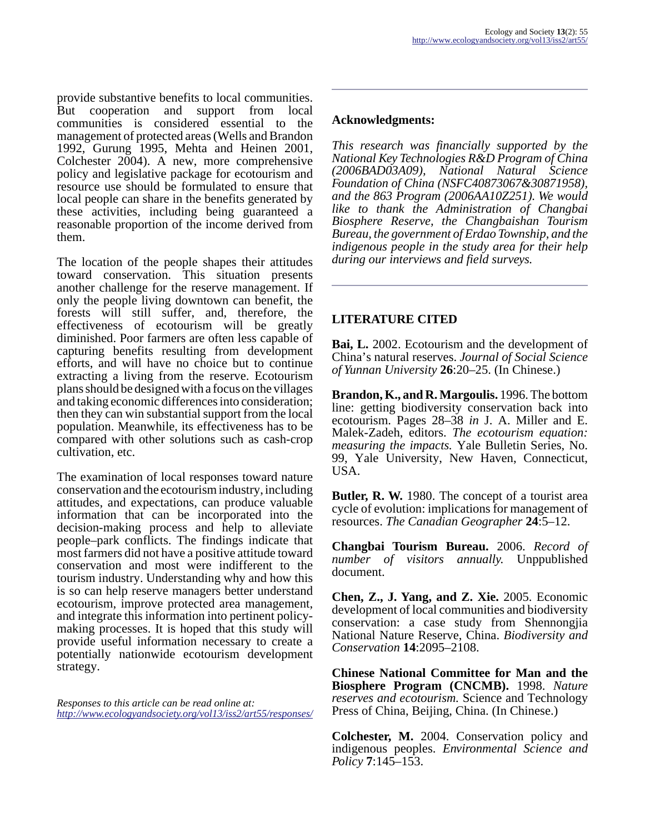provide substantive benefits to local communities. But cooperation and support from local communities is considered essential to the management of protected areas (Wells and Brandon 1992, Gurung 1995, Mehta and Heinen 2001, Colchester 2004). A new, more comprehensive policy and legislative package for ecotourism and resource use should be formulated to ensure that local people can share in the benefits generated by these activities, including being guaranteed a reasonable proportion of the income derived from them.

The location of the people shapes their attitudes toward conservation. This situation presents another challenge for the reserve management. If only the people living downtown can benefit, the forests will still suffer, and, therefore, the effectiveness of ecotourism will be greatly diminished. Poor farmers are often less capable of capturing benefits resulting from development efforts, and will have no choice but to continue extracting a living from the reserve. Ecotourism plans should be designed with a focus on the villages and taking economic differences into consideration; then they can win substantial support from the local population. Meanwhile, its effectiveness has to be compared with other solutions such as cash-crop cultivation, etc.

The examination of local responses toward nature conservation and the ecotourism industry, including attitudes, and expectations, can produce valuable information that can be incorporated into the decision-making process and help to alleviate people–park conflicts. The findings indicate that most farmers did not have a positive attitude toward conservation and most were indifferent to the tourism industry. Understanding why and how this is so can help reserve managers better understand ecotourism, improve protected area management, and integrate this information into pertinent policymaking processes. It is hoped that this study will provide useful information necessary to create a potentially nationwide ecotourism development strategy.

*Responses to this article can be read online at: <http://www.ecologyandsociety.org/vol13/iss2/art55/responses/>*

#### **Acknowledgments:**

*This research was financially supported by the National Key Technologies R&D Program of China (2006BAD03A09), National Natural Science Foundation of China (NSFC40873067&30871958), and the 863 Program (2006AA10Z251). We would like to thank the Administration of Changbai Biosphere Reserve, the Changbaishan Tourism Bureau, the government of Erdao Township, and the indigenous people in the study area for their help during our interviews and field surveys.*

### **LITERATURE CITED**

**Bai, L.** 2002. Ecotourism and the development of China's natural reserves. *Journal of Social Science of Yunnan University* **26**:20–25. (In Chinese.)

**Brandon, K., and R. Margoulis.** 1996. The bottom line: getting biodiversity conservation back into ecotourism. Pages 28–38 *in* J. A. Miller and E. Malek-Zadeh, editors. *The ecotourism equation: measuring the impacts.* Yale Bulletin Series, No. 99, Yale University, New Haven, Connecticut, USA.

**Butler, R. W.** 1980. The concept of a tourist area cycle of evolution: implications for management of resources. *The Canadian Geographer* **24**:5–12.

**Changbai Tourism Bureau.** 2006. *Record of number of visitors annually.* Unppublished document.

**Chen, Z., J. Yang, and Z. Xie.** 2005. Economic development of local communities and biodiversity conservation: a case study from Shennongjia National Nature Reserve, China. *Biodiversity and Conservation* **14**:2095–2108.

**Chinese National Committee for Man and the Biosphere Program (CNCMB).** 1998. *Nature reserves and ecotourism.* Science and Technology Press of China, Beijing, China. (In Chinese.)

**Colchester, M.** 2004. Conservation policy and indigenous peoples. *Environmental Science and Policy* **7**:145–153.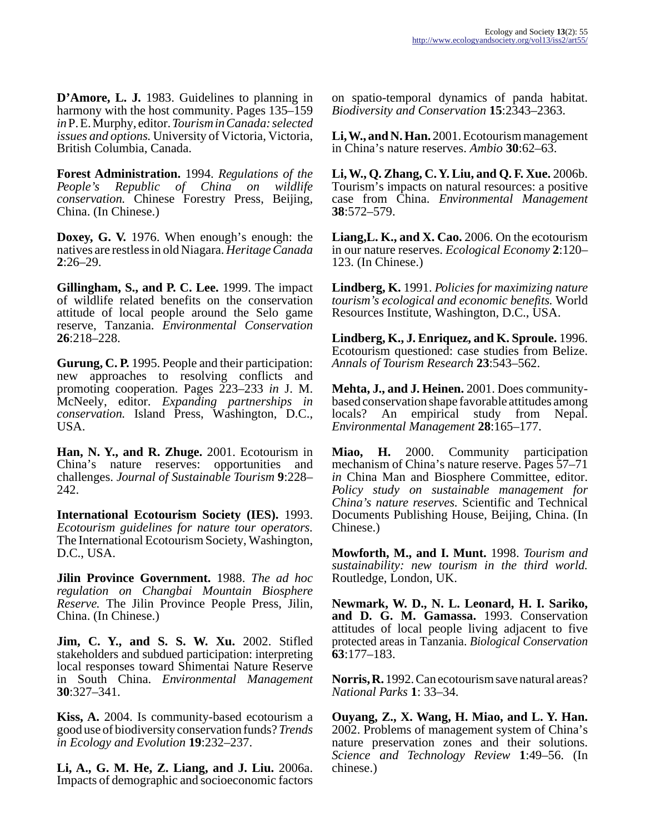**D'Amore, L. J.** 1983. Guidelines to planning in harmony with the host community. Pages 135–159 *in* P. E. Murphy, editor. *Tourism in Canada: selected issues and options.* University of Victoria, Victoria, British Columbia, Canada.

**Forest Administration.** 1994. *Regulations of the People's Republic of China on wildlife conservation.* Chinese Forestry Press, Beijing, China. (In Chinese.)

**Doxey, G. V.** 1976. When enough's enough: the natives are restless in old Niagara. *Heritage Canada* **2**:26–29.

**Gillingham, S., and P. C. Lee.** 1999. The impact of wildlife related benefits on the conservation attitude of local people around the Selo game reserve, Tanzania. *Environmental Conservation* **26**:218–228.

**Gurung, C. P.** 1995. People and their participation: new approaches to resolving conflicts and promoting cooperation. Pages 223–233 *in* J. M. McNeely, editor. *Expanding partnerships in conservation.* Island Press, Washington, D.C., USA.

**Han, N. Y., and R. Zhuge.** 2001. Ecotourism in China's nature reserves: opportunities and challenges. *Journal of Sustainable Tourism* **9**:228– 242.

**International Ecotourism Society (IES).** 1993. *Ecotourism guidelines for nature tour operators.* The International Ecotourism Society, Washington, D.C., USA.

**Jilin Province Government.** 1988. *The ad hoc regulation on Changbai Mountain Biosphere Reserve.* The Jilin Province People Press, Jilin, China. (In Chinese.)

**Jim, C. Y., and S. S. W. Xu.** 2002. Stifled stakeholders and subdued participation: interpreting local responses toward Shimentai Nature Reserve in South China. *Environmental Management* **30**:327–341.

**Kiss, A.** 2004. Is community-based ecotourism a good use of biodiversity conservation funds? *Trends in Ecology and Evolution* **19**:232–237.

**Li, A., G. M. He, Z. Liang, and J. Liu.** 2006a. Impacts of demographic and socioeconomic factors on spatio-temporal dynamics of panda habitat. *Biodiversity and Conservation* **15**:2343–2363.

**Li, W., and N. Han.** 2001. Ecotourism management in China's nature reserves. *Ambio* **30**:62–63.

**Li, W., Q. Zhang, C. Y. Liu, and Q. F. Xue.** 2006b. Tourism's impacts on natural resources: a positive case from China. *Environmental Management* **38**:572–579.

Liang, L. K., and X. Cao. 2006. On the ecotourism in our nature reserves. *Ecological Economy* **2**:120– 123. (In Chinese.)

**Lindberg, K.** 1991. *Policies for maximizing nature tourism's ecological and economic benefits.* World Resources Institute, Washington, D.C., USA.

**Lindberg, K., J. Enriquez, and K. Sproule.** 1996. Ecotourism questioned: case studies from Belize. *Annals of Tourism Research* **23**:543–562.

**Mehta, J., and J. Heinen.** 2001. Does communitybased conservation shape favorable attitudes among locals? An empirical study from Nepal. *Environmental Management* **28**:165–177.

**Miao, H.** 2000. Community participation mechanism of China's nature reserve. Pages 57–71 *in* China Man and Biosphere Committee, editor. *Policy study on sustainable management for China's nature reserves.* Scientific and Technical Documents Publishing House, Beijing, China. (In Chinese.)

**Mowforth, M., and I. Munt.** 1998. *Tourism and sustainability: new tourism in the third world.* Routledge, London, UK.

**Newmark, W. D., N. L. Leonard, H. I. Sariko, and D. G. M. Gamassa.** 1993. Conservation attitudes of local people living adjacent to five protected areas in Tanzania. *Biological Conservation* **63**:177–183.

**Norris, R.** 1992. Can ecotourism save natural areas? *National Parks* **1**: 33–34.

**Ouyang, Z., X. Wang, H. Miao, and L. Y. Han.** 2002. Problems of management system of China's nature preservation zones and their solutions. *Science and Technology Review* **1**:49–56. (In chinese.)